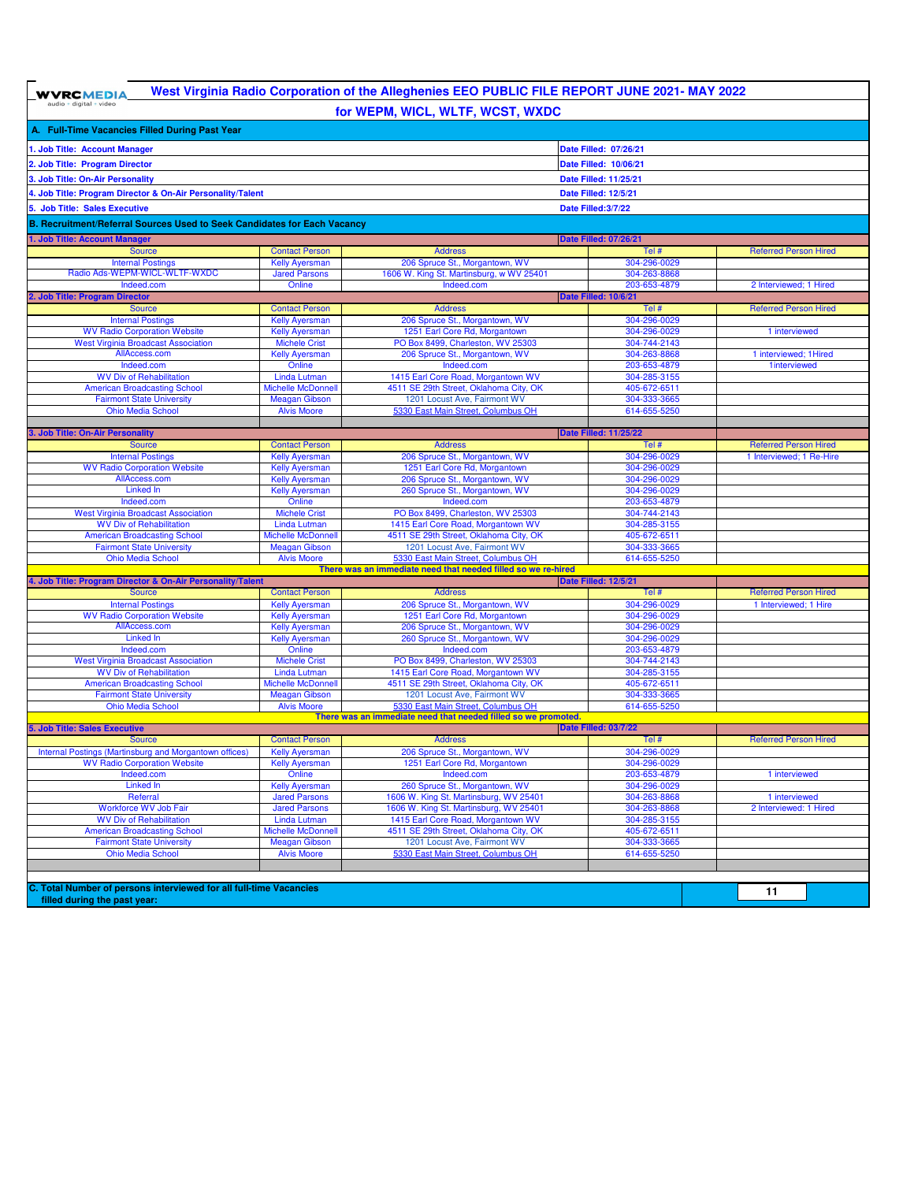$\boxed{\textbf{WVRCMEDIA}}_{\text{audio + digital + video}}$ 

## **West Virginia Radio Corporation of the Alleghenies EEO PUBLIC FILE REPORT JUNE 2021- MAY 2022 for WEPM, WICL, WLTF, WCST, WXDC**

|                                                                                              |                                                | <b>101 WEF MI, WICE, WETT, WOOT, WADO</b>                                        |                              |                                         |
|----------------------------------------------------------------------------------------------|------------------------------------------------|----------------------------------------------------------------------------------|------------------------------|-----------------------------------------|
| A. Full-Time Vacancies Filled During Past Year                                               |                                                |                                                                                  |                              |                                         |
| . Job Title: Account Manager                                                                 |                                                |                                                                                  | Date Filled: 07/26/21        |                                         |
|                                                                                              |                                                |                                                                                  |                              |                                         |
| 2. Job Title: Program Director                                                               |                                                |                                                                                  | Date Filled: 10/06/21        |                                         |
| 3. Job Title: On-Air Personality                                                             |                                                |                                                                                  | Date Filled: 11/25/21        |                                         |
| 4. Job Title: Program Director & On-Air Personality/Talent                                   |                                                |                                                                                  | Date Filled: 12/5/21         |                                         |
| 5. Job Title: Sales Executive                                                                |                                                |                                                                                  | Date Filled: 3/7/22          |                                         |
| B. Recruitment/Referral Sources Used to Seek Candidates for Each Vacancy                     |                                                |                                                                                  |                              |                                         |
| 1. Job Title: Account Manager                                                                |                                                |                                                                                  | <b>Date Filled: 07/26/21</b> |                                         |
| <b>Source</b>                                                                                | <b>Contact Person</b>                          | <b>Address</b>                                                                   | Tel #                        | <b>Referred Person Hired</b>            |
| <b>Internal Postings</b>                                                                     | <b>Kelly Ayersman</b>                          | 206 Spruce St., Morgantown, WV                                                   | 304-296-0029                 |                                         |
| Radio Ads-WEPM-WICL-WLTF-WXDC                                                                | <b>Jared Parsons</b>                           | 1606 W. King St. Martinsburg, w WV 25401                                         | 304-263-8868                 |                                         |
| Indeed.com                                                                                   | Online                                         | Indeed.com                                                                       | 203-653-4879                 | 2 Interviewed; 1 Hired                  |
| 2. Job Title: Program Director                                                               |                                                |                                                                                  | <b>Date Filled: 10/6/21</b>  |                                         |
| <b>Source</b>                                                                                | <b>Contact Person</b>                          | <b>Address</b>                                                                   | Tel #                        | <b>Referred Person Hired</b>            |
| <b>Internal Postings</b>                                                                     | <b>Kelly Ayersman</b>                          | 206 Spruce St., Morgantown, WV                                                   | 304-296-0029                 |                                         |
| <b>WV Radio Corporation Website</b>                                                          | <b>Kelly Ayersman</b>                          | 1251 Earl Core Rd, Morgantown                                                    | 304-296-0029                 | 1 interviewed                           |
| <b>West Virginia Broadcast Association</b><br>AllAccess.com                                  | <b>Michele Crist</b>                           | PO Box 8499, Charleston, WV 25303<br>206 Spruce St., Morgantown, WV              | 304-744-2143                 | 1 interviewed; 1 Hired                  |
| Indeed.com                                                                                   | <b>Kelly Ayersman</b><br>Online                | Indeed.com                                                                       | 304-263-8868<br>203-653-4879 | 1interviewed                            |
| <b>WV Div of Rehabilitation</b>                                                              | <b>Linda Lutman</b>                            | 1415 Earl Core Road, Morgantown WV                                               | 304-285-3155                 |                                         |
| <b>American Broadcasting School</b>                                                          | <b>Michelle McDonnell</b>                      | 4511 SE 29th Street, Oklahoma City, OK                                           | 405-672-6511                 |                                         |
| <b>Fairmont State University</b>                                                             | <b>Meagan Gibson</b>                           | 1201 Locust Ave, Fairmont WV                                                     | 304-333-3665                 |                                         |
| <b>Ohio Media School</b>                                                                     | <b>Alvis Moore</b>                             | 5330 East Main Street, Columbus OH                                               | 614-655-5250                 |                                         |
|                                                                                              |                                                |                                                                                  |                              |                                         |
| 3. Job Title: On-Air Personality                                                             |                                                |                                                                                  | <b>Date Filled: 11/25/22</b> |                                         |
| <b>Source</b>                                                                                | <b>Contact Person</b>                          | <b>Address</b>                                                                   | Tel #                        | <b>Referred Person Hired</b>            |
| <b>Internal Postings</b>                                                                     | <b>Kelly Ayersman</b>                          | 206 Spruce St., Morgantown, WV                                                   | 304-296-0029                 | 1 Interviewed; 1 Re-Hire                |
| <b>WV Radio Corporation Website</b><br>AllAccess.com                                         | <b>Kelly Ayersman</b><br><b>Kelly Ayersman</b> | 1251 Earl Core Rd, Morgantown<br>206 Spruce St., Morgantown, WV                  | 304-296-0029<br>304-296-0029 |                                         |
| <b>Linked In</b>                                                                             | <b>Kelly Ayersman</b>                          | 260 Spruce St., Morgantown, WV                                                   | 304-296-0029                 |                                         |
| Indeed.com                                                                                   | Online                                         | Indeed.com                                                                       | 203-653-4879                 |                                         |
| <b>West Virginia Broadcast Association</b>                                                   | <b>Michele Crist</b>                           | PO Box 8499, Charleston, WV 25303                                                | 304-744-2143                 |                                         |
| <b>WV Div of Rehabilitation</b>                                                              | Linda Lutman                                   | 1415 Earl Core Road, Morgantown WV                                               | 304-285-3155                 |                                         |
| <b>American Broadcasting School</b>                                                          | <b>Michelle McDonnell</b>                      | 4511 SE 29th Street, Oklahoma City, OK                                           | 405-672-6511                 |                                         |
| <b>Fairmont State University</b>                                                             | <b>Meagan Gibson</b>                           | 1201 Locust Ave, Fairmont WV                                                     | 304-333-3665                 |                                         |
| <b>Ohio Media School</b>                                                                     | <b>Alvis Moore</b>                             | 5330 East Main Street, Columbus OH                                               | 614-655-5250                 |                                         |
| There was an immediate need that needed filled so we re-hired<br><b>Date Filled: 12/5/21</b> |                                                |                                                                                  |                              |                                         |
| 4. Job Title: Program Director & On-Air Personality/Talent<br><b>Source</b>                  | <b>Contact Person</b>                          | <b>Address</b>                                                                   | Tel #                        | <b>Referred Person Hired</b>            |
| <b>Internal Postings</b>                                                                     | <b>Kelly Ayersman</b>                          | 206 Spruce St., Morgantown, WV                                                   | 304-296-0029                 | 1 Interviewed; 1 Hire                   |
| <b>WV Radio Corporation Website</b>                                                          | <b>Kelly Ayersman</b>                          | 1251 Earl Core Rd, Morgantown                                                    | 304-296-0029                 |                                         |
| AllAccess.com                                                                                | <b>Kelly Ayersman</b>                          | 206 Spruce St., Morgantown, WV                                                   | 304-296-0029                 |                                         |
| Linked In                                                                                    | <b>Kelly Ayersman</b>                          | 260 Spruce St., Morgantown, WV                                                   | 304-296-0029                 |                                         |
| Indeed.com                                                                                   | Online                                         | Indeed.com                                                                       | 203-653-4879                 |                                         |
| <b>West Virginia Broadcast Association</b>                                                   | <b>Michele Crist</b>                           | PO Box 8499, Charleston, WV 25303                                                | 304-744-2143                 |                                         |
| <b>WV Div of Rehabilitation</b>                                                              | Linda Lutman                                   | 1415 Earl Core Road, Morgantown WV                                               | 304-285-3155                 |                                         |
| <b>American Broadcasting School</b><br><b>Fairmont State University</b>                      | Michelle McDonnell<br><b>Meagan Gibson</b>     | 4511 SE 29th Street, Oklahoma City, OK<br>1201 Locust Ave, Fairmont WV           | 405-672-6511<br>304-333-3665 |                                         |
| <b>Ohio Media School</b>                                                                     | <b>Alvis Moore</b>                             | 5330 East Main Street, Columbus OH                                               | 614-655-5250                 |                                         |
|                                                                                              |                                                | There was an immediate need that needed filled so we promoted.                   |                              |                                         |
| Date Filled: 03/7/22<br>5. Job Title: Sales Executive                                        |                                                |                                                                                  |                              |                                         |
| <b>Source</b>                                                                                | <b>Contact Person</b>                          | <b>Address</b>                                                                   | Tel #                        | <b>Referred Person Hired</b>            |
| Internal Postings (Martinsburg and Morgantown offices)                                       | <b>Kelly Ayersman</b>                          | 206 Spruce St., Morgantown, WV                                                   | 304-296-0029                 |                                         |
| <b>WV Radio Corporation Website</b>                                                          | <b>Kelly Ayersman</b>                          | 1251 Earl Core Rd, Morgantown                                                    | 304-296-0029                 |                                         |
| Indeed.com                                                                                   | Online                                         | Indeed.com                                                                       | 203-653-4879                 | 1 interviewed                           |
| Linked in                                                                                    | Kelly Ayersman                                 | 260 Spruce St., Morgantown, WV                                                   | 304-296-0029                 |                                         |
| Referral<br>Workforce WV Job Fair                                                            | <b>Jared Parsons</b><br><b>Jared Parsons</b>   | 1606 W. King St. Martinsburg, WV 25401<br>1606 W. King St. Martinsburg, WV 25401 | 304-263-8868<br>304-263-8868 | 1 interviewed<br>2 Interviewed: 1 Hired |
| <b>WV Div of Rehabilitation</b>                                                              | Linda Lutman                                   | 1415 Earl Core Road, Morgantown WV                                               | 304-285-3155                 |                                         |
| <b>American Broadcasting School</b>                                                          | Michelle McDonnell                             | 4511 SE 29th Street, Oklahoma City, OK                                           | 405-672-6511                 |                                         |
| <b>Fairmont State University</b>                                                             | <b>Meagan Gibson</b>                           | 1201 Locust Ave, Fairmont WV                                                     | 304-333-3665                 |                                         |
| <b>Ohio Media School</b>                                                                     | <b>Alvis Moore</b>                             | 5330 East Main Street, Columbus OH                                               | 614-655-5250                 |                                         |
|                                                                                              |                                                |                                                                                  |                              |                                         |
|                                                                                              |                                                |                                                                                  |                              |                                         |
| C. Total Number of persons interviewed for all full-time Vacancies<br>11                     |                                                |                                                                                  |                              |                                         |
| filled during the past year:                                                                 |                                                |                                                                                  |                              |                                         |